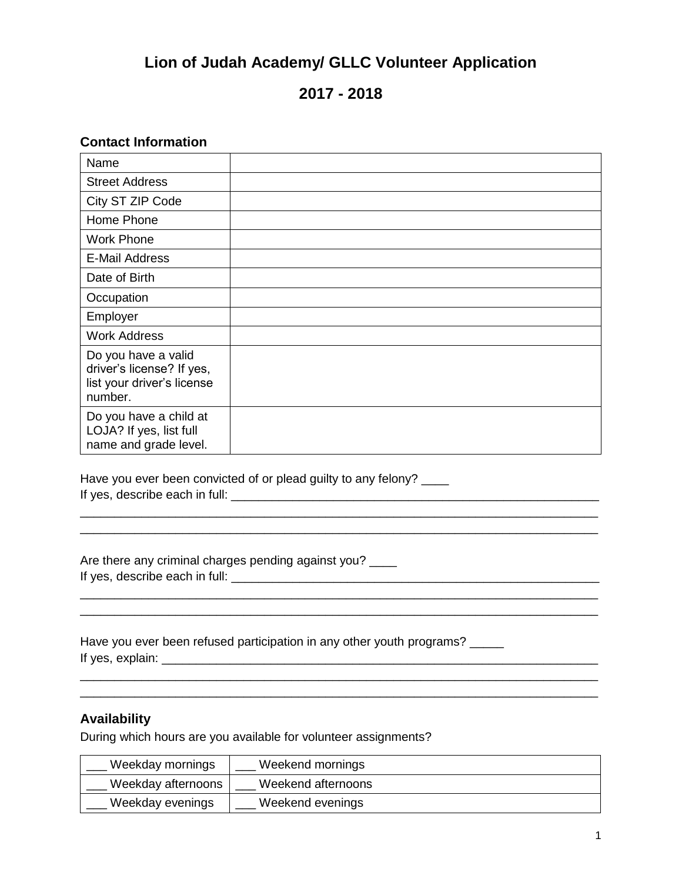# **Lion of Judah Academy/ GLLC Volunteer Application**

# **2017 - 2018**

### **Contact Information**

| Name                                                                                      |  |
|-------------------------------------------------------------------------------------------|--|
| <b>Street Address</b>                                                                     |  |
| City ST ZIP Code                                                                          |  |
| Home Phone                                                                                |  |
| <b>Work Phone</b>                                                                         |  |
| <b>E-Mail Address</b>                                                                     |  |
| Date of Birth                                                                             |  |
| Occupation                                                                                |  |
| Employer                                                                                  |  |
| <b>Work Address</b>                                                                       |  |
| Do you have a valid<br>driver's license? If yes,<br>list your driver's license<br>number. |  |
| Do you have a child at<br>LOJA? If yes, list full<br>name and grade level.                |  |

\_\_\_\_\_\_\_\_\_\_\_\_\_\_\_\_\_\_\_\_\_\_\_\_\_\_\_\_\_\_\_\_\_\_\_\_\_\_\_\_\_\_\_\_\_\_\_\_\_\_\_\_\_\_\_\_\_\_\_\_\_\_\_\_\_\_\_\_\_\_\_\_\_\_\_\_ \_\_\_\_\_\_\_\_\_\_\_\_\_\_\_\_\_\_\_\_\_\_\_\_\_\_\_\_\_\_\_\_\_\_\_\_\_\_\_\_\_\_\_\_\_\_\_\_\_\_\_\_\_\_\_\_\_\_\_\_\_\_\_\_\_\_\_\_\_\_\_\_\_\_\_\_

\_\_\_\_\_\_\_\_\_\_\_\_\_\_\_\_\_\_\_\_\_\_\_\_\_\_\_\_\_\_\_\_\_\_\_\_\_\_\_\_\_\_\_\_\_\_\_\_\_\_\_\_\_\_\_\_\_\_\_\_\_\_\_\_\_\_\_\_\_\_\_\_\_\_\_\_

\_\_\_\_\_\_\_\_\_\_\_\_\_\_\_\_\_\_\_\_\_\_\_\_\_\_\_\_\_\_\_\_\_\_\_\_\_\_\_\_\_\_\_\_\_\_\_\_\_\_\_\_\_\_\_\_\_\_\_\_\_\_\_\_\_\_\_\_\_\_\_\_\_\_\_\_ \_\_\_\_\_\_\_\_\_\_\_\_\_\_\_\_\_\_\_\_\_\_\_\_\_\_\_\_\_\_\_\_\_\_\_\_\_\_\_\_\_\_\_\_\_\_\_\_\_\_\_\_\_\_\_\_\_\_\_\_\_\_\_\_\_\_\_\_\_\_\_\_\_\_\_\_

Have you ever been convicted of or plead guilty to any felony? If yes, describe each in full: \_\_\_\_\_\_\_\_\_\_\_\_\_\_\_\_\_\_\_\_\_\_\_\_\_\_\_\_\_\_\_\_\_\_\_\_\_\_\_\_\_\_\_\_\_\_\_\_\_\_\_\_\_\_

Are there any criminal charges pending against you? \_\_\_\_ If yes, describe each in full: \_\_\_\_\_\_\_\_\_\_\_\_\_\_\_\_\_\_\_\_\_\_\_\_\_\_\_\_\_\_\_\_\_\_\_\_\_\_\_\_\_\_\_\_\_\_\_\_\_\_\_\_\_\_

Have you ever been refused participation in any other youth programs? \_\_\_\_\_ If yes, explain: \_\_\_\_\_\_\_\_\_\_\_\_\_\_\_\_\_\_\_\_\_\_\_\_\_\_\_\_\_\_\_\_\_\_\_\_\_\_\_\_\_\_\_\_\_\_\_\_\_\_\_\_\_\_\_\_\_\_\_\_\_\_\_\_

#### **Availability**

During which hours are you available for volunteer assignments?

| Weekday mornings   | Weekend mornings   |
|--------------------|--------------------|
| Weekday afternoons | Weekend afternoons |
| Weekday evenings   | Weekend evenings   |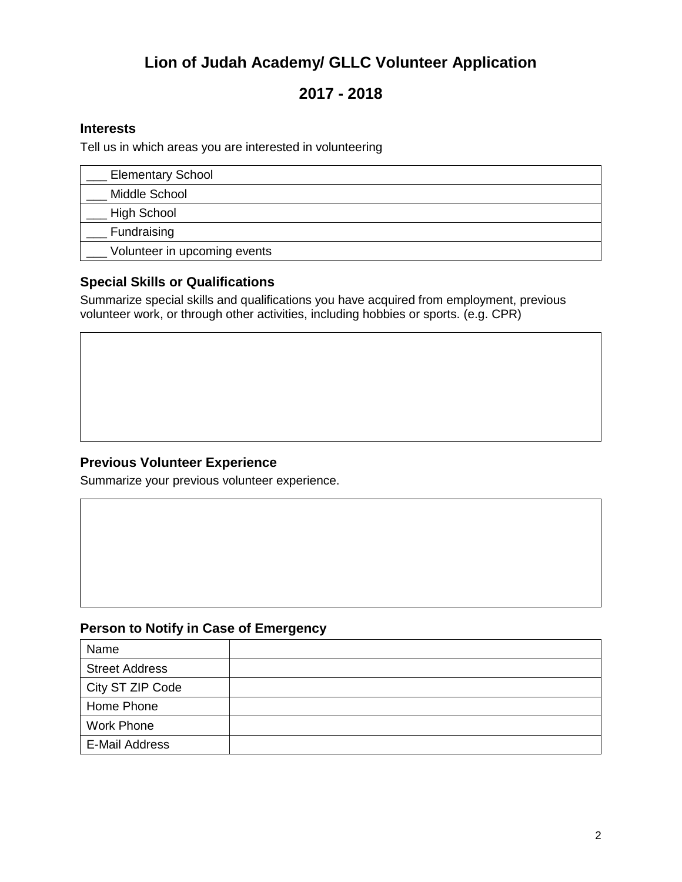# **Lion of Judah Academy/ GLLC Volunteer Application**

# **2017 - 2018**

### **Interests**

Tell us in which areas you are interested in volunteering

| <b>Elementary School</b>     |  |
|------------------------------|--|
| Middle School                |  |
| High School                  |  |
| Fundraising                  |  |
| Volunteer in upcoming events |  |

### **Special Skills or Qualifications**

Summarize special skills and qualifications you have acquired from employment, previous volunteer work, or through other activities, including hobbies or sports. (e.g. CPR)

### **Previous Volunteer Experience**

Summarize your previous volunteer experience.

### **Person to Notify in Case of Emergency**

| Name                  |  |
|-----------------------|--|
| <b>Street Address</b> |  |
| City ST ZIP Code      |  |
| Home Phone            |  |
| <b>Work Phone</b>     |  |
| E-Mail Address        |  |